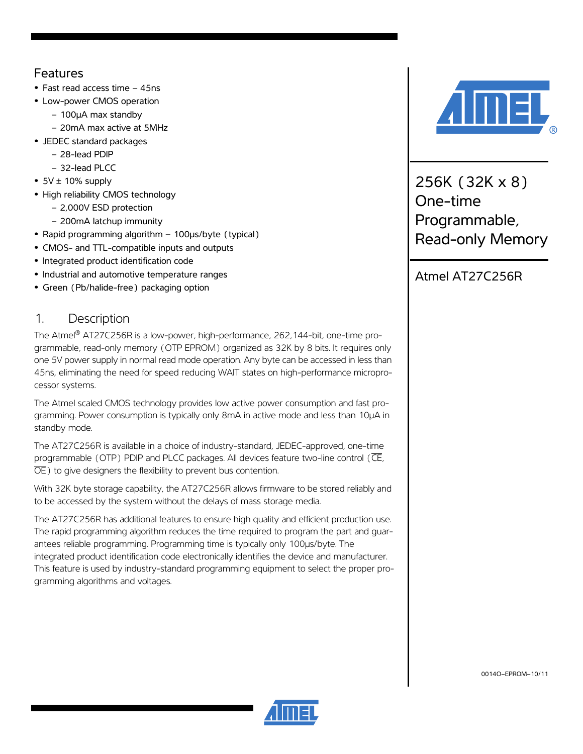## Features

- **•** Fast read access time 45ns
- **•** Low-power CMOS operation
	- 100µA max standby
	- 20mA max active at 5MHz
- **•** JEDEC standard packages
	- 28-lead PDIP
	- 32-lead PLCC
- **•** 5V <sup>±</sup> 10% supply
- **•** High reliability CMOS technology
	- 2,000V ESD protection
	- 200mA latchup immunity
- **•** Rapid programming algorithm 100µs/byte (typical)
- **•** CMOS- and TTL-compatible inputs and outputs
- **•** Integrated product identification code
- **•** Industrial and automotive temperature ranges
- **•** Green (Pb/halide-free) packaging option

## 1. Description

The Atmel<sup>®</sup> AT27C256R is a low-power, high-performance, 262,144-bit, one-time programmable, read-only memory (OTP EPROM) organized as 32K by 8 bits. It requires only one 5V power supply in normal read mode operation. Any byte can be accessed in less than 45ns, eliminating the need for speed reducing WAIT states on high-performance microprocessor systems.

The Atmel scaled CMOS technology provides low active power consumption and fast programming. Power consumption is typically only 8mA in active mode and less than 10µA in standby mode.

The AT27C256R is available in a choice of industry-standard, JEDEC-approved, one-time programmable (OTP) PDIP and PLCC packages. All devices feature two-line control (CE,  $\overline{OE}$ ) to give designers the flexibility to prevent bus contention.

With 32K byte storage capability, the AT27C256R allows firmware to be stored reliably and to be accessed by the system without the delays of mass storage media.

The AT27C256R has additional features to ensure high quality and efficient production use. The rapid programming algorithm reduces the time required to program the part and guarantees reliable programming. Programming time is typically only 100µs/byte. The integrated product identification code electronically identifies the device and manufacturer. This feature is used by industry-standard programming equipment to select the proper programming algorithms and voltages.



256K (32K x 8) One-time Programmable, Read-only Memory

Atmel AT27C256R



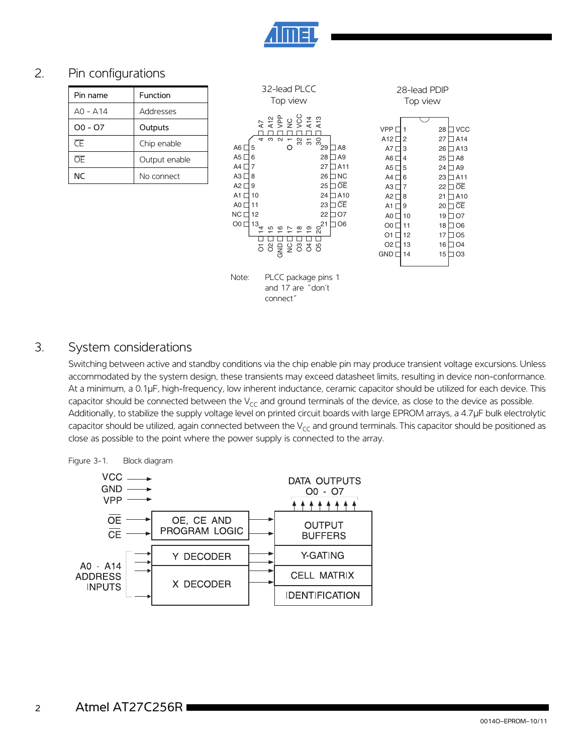

## 2. Pin configurations

| Pin name                                     | Function      |
|----------------------------------------------|---------------|
| $AO - A14$                                   | Addresses     |
| $OO - O7$                                    | Outputs       |
| $\overline{\overline{\mathsf{C}}\mathsf{F}}$ | Chip enable   |
| ŌF                                           | Output enable |
| ΝC                                           | No connect    |
|                                              |               |





### 3. System considerations

Switching between active and standby conditions via the chip enable pin may produce transient voltage excursions. Unless accommodated by the system design, these transients may exceed datasheet limits, resulting in device non-conformance. At a minimum, a 0.1µF, high-frequency, low inherent inductance, ceramic capacitor should be utilized for each device. This capacitor should be connected between the  $V_{CC}$  and ground terminals of the device, as close to the device as possible. Additionally, to stabilize the supply voltage level on printed circuit boards with large EPROM arrays, a 4.7µF bulk electrolytic capacitor should be utilized, again connected between the  $V_{CC}$  and ground terminals. This capacitor should be positioned as close as possible to the point where the power supply is connected to the array.

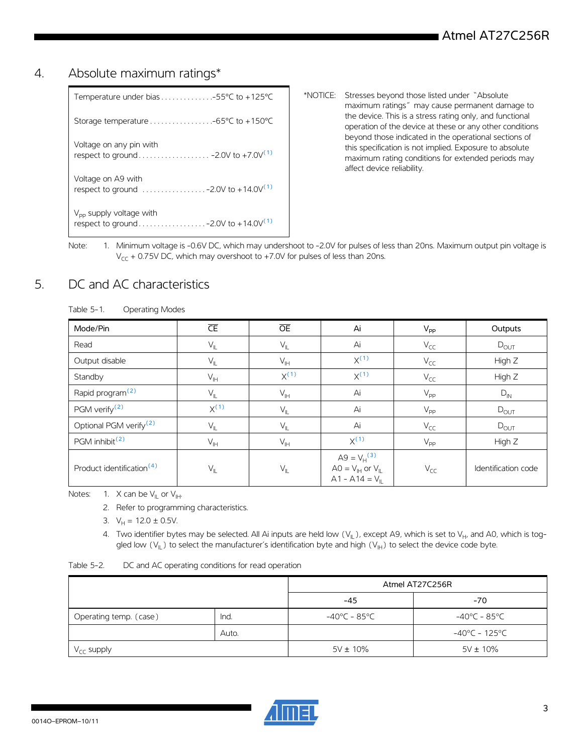## 4. Absolute maximum ratings\*

| $\mathbf{a}$ and $\mathbf{b}$ and $\mathbf{c}$ and $\mathbf{c}$ and $\mathbf{c}$ and $\mathbf{c}$ and $\mathbf{c}$ and $\mathbf{c}$ and $\mathbf{c}$ and $\mathbf{c}$ and $\mathbf{c}$ and $\mathbf{c}$ and $\mathbf{c}$ and $\mathbf{c}$ and $\mathbf{c}$ and $\mathbf{c}$ and $\mathbf{c}$ and |
|--------------------------------------------------------------------------------------------------------------------------------------------------------------------------------------------------------------------------------------------------------------------------------------------------|
| $V_{\text{pp}}$ supply voltage with                                                                                                                                                                                                                                                              |
| Voltage on A9 with<br>respect to ground $\ldots \ldots \ldots \ldots -2.0V$ to +14.0V <sup>(1)</sup>                                                                                                                                                                                             |
| Voltage on any pin with                                                                                                                                                                                                                                                                          |
|                                                                                                                                                                                                                                                                                                  |
| Temperature under bias $\ldots \ldots \ldots \ldots -55^{\circ}C$ to +125°C                                                                                                                                                                                                                      |

- \*NOTICE: Stresses beyond those listed under "Absolute maximum ratings" may cause permanent damage to the device. This is a stress rating only, and functional operation of the device at these or any other conditions beyond those indicated in the operational sections of this specification is not implied. Exposure to absolute maximum rating conditions for extended periods may affect device reliability.
- <span id="page-2-0"></span>Note: 1. Minimum voltage is -0.6V DC, which may undershoot to -2.0V for pulses of less than 20ns. Maximum output pin voltage is  $V_{CC}$  + 0.75V DC, which may overshoot to +7.0V for pulses of less than 20ns.

## 5. DC and AC characteristics

| Mode/Pin                              | $\overline{\text{CE}}$     | <b>OE</b>       | Ai                                                                                        | $V_{\text{PP}}$   | Outputs             |
|---------------------------------------|----------------------------|-----------------|-------------------------------------------------------------------------------------------|-------------------|---------------------|
| Read                                  | $\mathsf{V}_{\mathsf{IL}}$ | $V_{IL}$        | Ai                                                                                        | $V_{CC}$          | $D_{\text{OUT}}$    |
| Output disable                        | $\mathsf{V}_{\mathsf{IL}}$ | $V_{\text{IH}}$ | $X^{(1)}$                                                                                 | $V_{CC}$          | High Z              |
| Standby                               | $\mathsf{V}_{\mathsf{IH}}$ | $X^{(1)}$       | $X^{(1)}$                                                                                 | $V_{CC}$          | High Z              |
| Rapid program <sup>(2)</sup>          | $V_{I L}$                  | $V_{\text{IH}}$ | Ai                                                                                        | $V_{\mathsf{PP}}$ | $D_{IN}$            |
| PGM verify <sup>(2)</sup>             | $X^{(1)}$                  | $V_{\parallel}$ | Ai                                                                                        | $V_{\mathsf{PP}}$ | $D_{\text{OUT}}$    |
| Optional PGM verify <sup>(2)</sup>    | $V_{IL}$                   | $V_{IL}$        | Ai                                                                                        | $V_{CC}$          | $D_{\text{OUT}}$    |
| PGM inhibit <sup>(2)</sup>            | $\mathsf{V}_{\mathsf{IH}}$ | $V_{\text{H}}$  | $X^{(1)}$                                                                                 | $V_{\text{PP}}$   | High Z              |
| Product identification <sup>(4)</sup> | $\mathsf{V}_{\mathsf{IL}}$ | $V_{\parallel}$ | $A9 = V_H^{(3)}$<br>$AO = V_{\text{IH}}$ or $V_{\text{IL}}$<br>$A1 - A14 = V_{\parallel}$ | $V_{CC}$          | Identification code |

Table 5-1. Operating Modes

<span id="page-2-4"></span><span id="page-2-2"></span><span id="page-2-1"></span>Notes: 1. X can be  $V_{II}$  or  $V_{III}$ .

2. Refer to programming characteristics.

3.  $V_H = 12.0 \pm 0.5V$ .

4. Two identifier bytes may be selected. All Ai inputs are held low  $(V_{\parallel})$ , except A9, which is set to  $V_{H}$ , and A0, which is toggled low  $(V_{II})$  to select the manufacturer's identification byte and high  $(V_{II})$  to select the device code byte.

<span id="page-2-3"></span>

| Table 5-2. | DC and AC operating conditions for read operation |  |  |
|------------|---------------------------------------------------|--|--|
|            |                                                   |  |  |

|                        |       | Atmel AT27C256R        |                         |  |  |  |
|------------------------|-------|------------------------|-------------------------|--|--|--|
|                        |       | $-45$                  | $-70$                   |  |  |  |
| Operating temp. (case) | Ind.  | $-40^{\circ}$ C – 85°C | -40°C - 85°C            |  |  |  |
|                        | Auto. |                        | $-40^{\circ}$ C – 125°C |  |  |  |
| $V_{cr}$ supply        |       | $5V \pm 10\%$          | $5V \pm 10\%$           |  |  |  |

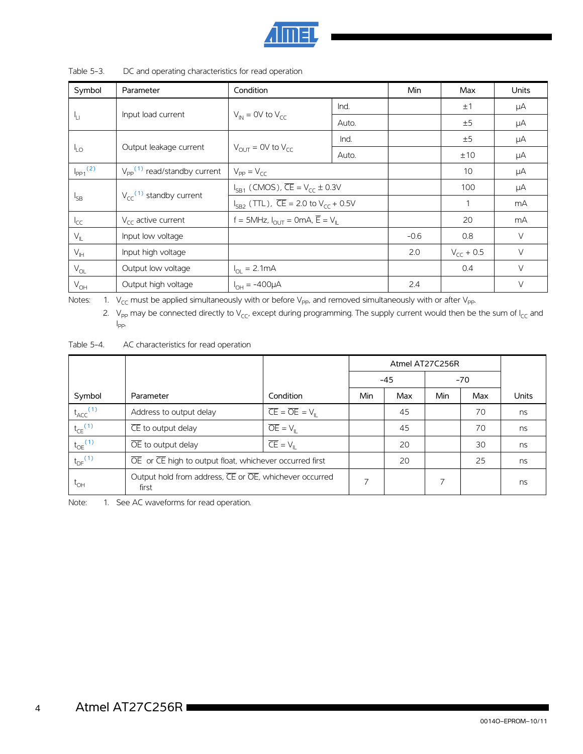

| Symbol                     | Parameter                                  | Condition                                                 |                                                                     | <b>Min</b> | Max            | <b>Units</b> |
|----------------------------|--------------------------------------------|-----------------------------------------------------------|---------------------------------------------------------------------|------------|----------------|--------------|
|                            |                                            |                                                           | Ind.                                                                |            | ±1             | μA           |
| ŀц                         | Input load current                         | $V_{IN}$ = 0V to $V_{CC}$                                 | Auto.                                                               |            | ±5             | μA           |
|                            |                                            |                                                           |                                                                     |            | ±5             | μA           |
| <sup>I</sup> LO            | Output leakage current                     | $V_{\text{OUT}} = 0V$ to $V_{\text{CC}}$                  | Auto.                                                               |            | ±10            | μA           |
| $I_{PP1}$ <sup>(2)</sup>   | $V_{\text{pp}}^{(1)}$ read/standby current | $V_{PP} = V_{CC}$                                         |                                                                     |            | 10             | μA           |
|                            |                                            | $I_{SB1}$ (CMOS), $\overline{CE} = V_{CC} \pm 0.3V$       |                                                                     |            | 100            | μA           |
| $I_{SB}$                   | $V_{cc}$ <sup>(1)</sup> standby current    | $I_{SB2}$ (TTL), $\overline{CE}$ = 2.0 to $V_{CC}$ + 0.5V |                                                                     |            | 1              | mA           |
| $I_{CC}$                   | $V_{\text{CC}}$ active current             |                                                           | f = 5MHz, $I_{\text{OUT}}$ = 0mA, $\overline{E}$ = $V_{\text{III}}$ |            | 20             | mA           |
| $V_{ L}$                   | Input low voltage                          |                                                           |                                                                     | $-0.6$     | 0.8            | $\vee$       |
| $\mathsf{V}_{\mathsf{IH}}$ | Input high voltage                         |                                                           |                                                                     | 2.0        | $V_{CC}$ + 0.5 | $\vee$       |
| $V_{OL}$                   | Output low voltage                         | $I_{OL} = 2.1mA$                                          |                                                                     |            | 0.4            | $\vee$       |
| $V_{OH}$                   | Output high voltage                        | $I_{OH} = -400 \mu A$                                     |                                                                     | 2.4        |                | $\vee$       |

Table 5-3. DC and operating characteristics for read operation

<span id="page-3-1"></span><span id="page-3-0"></span>Notes: 1.  $V_{CC}$  must be applied simultaneously with or before  $V_{PP}$ , and removed simultaneously with or after  $V_{PP}$ .

2. V<sub>PP</sub> may be connected directly to V<sub>CC</sub>, except during programming. The supply current would then be the sum of I<sub>CC</sub> and I  $I_{\mathsf{PP}}$ .

Table 5-4. AC characteristics for read operation

|                         |                                                                 |                                                 |     | Atmel AT27C256R |     |       |       |
|-------------------------|-----------------------------------------------------------------|-------------------------------------------------|-----|-----------------|-----|-------|-------|
|                         |                                                                 |                                                 |     | $-45$           |     | $-70$ |       |
| Symbol                  | Parameter                                                       | Condition                                       | Min | Max             | Min | Max   | Units |
| $t_{\text{ACC}}^{(1)}$  | Address to output delay                                         | $\overline{CE} = \overline{OE} = V_{\parallel}$ |     | 45              |     | 70    | ns    |
| $t_{CE}$ <sup>(1)</sup> | $\overline{\mathsf{CE}}$ to output delay                        | $\overline{OE} = V_{\parallel}$                 |     | 45              |     | 70    | ns    |
| $t_{OE}$ (1)            | $\overline{OE}$ to output delay                                 | $\overline{CE} = V_{\parallel}$                 |     | 20              |     | 30    | ns    |
| $t_{DF}$ <sup>(1)</sup> | OE or CE high to output float, whichever occurred first         |                                                 |     | 20              |     | 25    | ns    |
| $\tau_{\text{OH}}$      | Output hold from address, CE or OE, whichever occurred<br>first |                                                 | 7   |                 | 7   |       | ns    |

<span id="page-3-2"></span>Note: 1. See AC waveforms for read operation.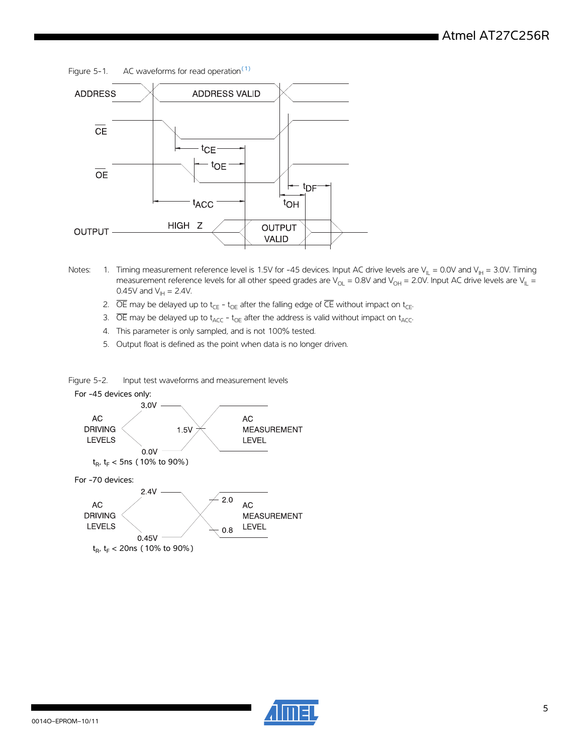Figure 5-1. AC waveforms for read operation $<sup>(1)</sup>$  $<sup>(1)</sup>$  $<sup>(1)</sup>$ </sup>



- <span id="page-4-0"></span>Notes: 1. Timing measurement reference level is 1.5V for -45 devices. Input AC drive levels are  $V_{IL} = 0.0V$  and  $V_{IH} = 3.0V$ . Timing measurement reference levels for all other speed grades are  $V_{OL} = 0.8V$  and  $V_{OH} = 2.0V$ . Input AC drive levels are  $V_{IL} =$ 0.45V and  $V_{\text{H}} = 2.4V$ .
	- 2.  $\overline{OE}$  may be delayed up to t<sub>CE</sub> t<sub>OE</sub> after the falling edge of  $\overline{CE}$  without impact on t<sub>CE</sub>.
	- 3.  $\overline{OE}$  may be delayed up to t<sub>ACC</sub> t<sub>OE</sub> after the address is valid without impact on t<sub>ACC</sub>.
	- 4. This parameter is only sampled, and is not 100% tested.
	- 5. Output float is defined as the point when data is no longer driven.

Figure 5-2. Input test waveforms and measurement levels



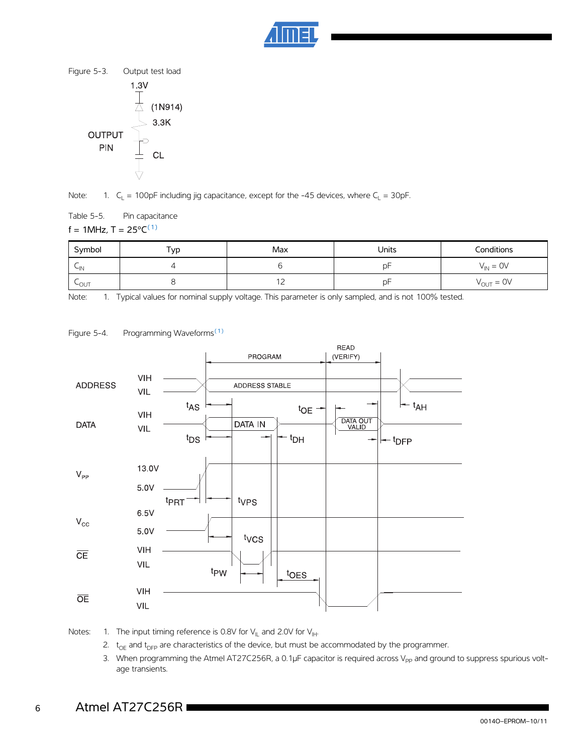

Figure 5-3. Output test load  $1.3V$ 



Note: 1.  $C_L = 100pF$  including jig capacitance, except for the -45 devices, where  $C_L = 30pF$ .

Table 5-5. Pin capacitance f = 1MHz,  $T = 25^{\circ}C^{(1)}$ 

| Symbol    | Тур | Max      | Units | Conditions                   |
|-----------|-----|----------|-------|------------------------------|
| $\sim$ IN |     |          | n⊢    | $V_{IN} = OV$                |
| LOUT      |     | <u>_</u> | D۲    | $V_{\text{OUT}} = \text{OV}$ |

<span id="page-5-0"></span>Note: 1. Typical values for nominal supply voltage. This parameter is only sampled, and is not 100% tested.



Figure 5-4. Programming Waveforms<sup>[\(1\)](#page-5-1)</sup>

<span id="page-5-1"></span>Notes: 1. The input timing reference is 0.8V for  $V_{\parallel}$  and 2.0V for  $V_{\parallel\text{H}}$ .

- 2.  $t_{OF}$  and  $t_{DFP}$  are characteristics of the device, but must be accommodated by the programmer.
- 3. When programming the Atmel AT27C256R, a 0.1 $\mu$ F capacitor is required across V<sub>PP</sub> and ground to suppress spurious voltage transients.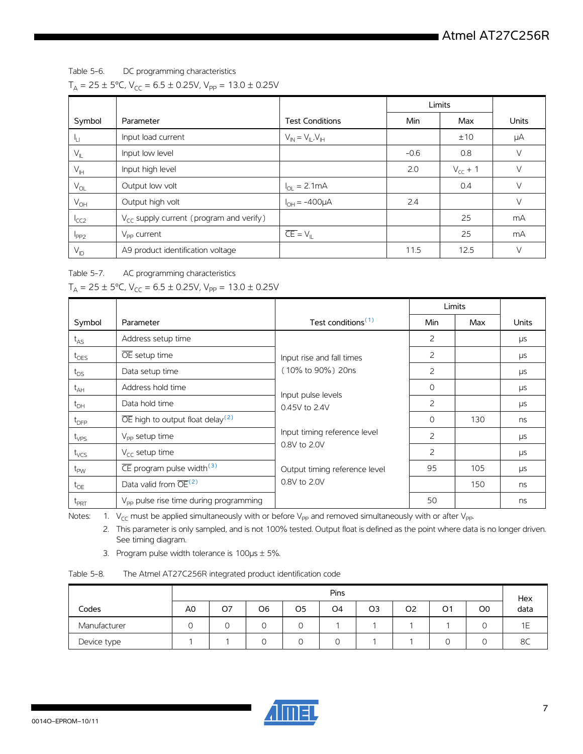Table 5-6. DC programming characteristics

 $T_A = 25 \pm 5^{\circ}$ C, V<sub>CC</sub> = 6.5  $\pm$  0.25V, V<sub>PP</sub> = 13.0  $\pm$  0.25V

|                              |                                              |                                 | Limits |              |        |
|------------------------------|----------------------------------------------|---------------------------------|--------|--------------|--------|
| Symbol                       | Parameter                                    | <b>Test Conditions</b>          | Min    | Max          | Units  |
| ŀц                           | Input load current                           | $V_{IN} = V_{IL} V_{IH}$        |        | ±10          | μA     |
| $V_{\parallel}$              | Input low level                              |                                 | $-0.6$ | 0.8          | $\vee$ |
| $\mathsf{V}_{\mathsf{IH}}$   | Input high level                             |                                 | 2.0    | $V_{CC}$ + 1 |        |
| $V_{OL}$                     | Output low volt                              | $I_{\Omega I} = 2.1 \text{mA}$  |        | 0.4          |        |
| $V_{OH}$                     | Output high volt                             | $I_{OH} = -400 \mu A$           | 2.4    |              | $\vee$ |
| <sup>I</sup> CC <sub>2</sub> | $V_{CC}$ supply current (program and verify) |                                 |        | 25           | mA     |
| $1_{PP2}$                    | $V_{\text{pp}}$ current                      | $\overline{CE} = V_{\parallel}$ |        | 25           | mA     |
| $V_{ID}$                     | A9 product identification voltage            |                                 | 11.5   | 12.5         | V      |

Table 5-7. AC programming characteristics

| $T_A = 25 \pm 5^{\circ}$ C, V <sub>CC</sub> = 6.5 ± 0.25V, V <sub>pp</sub> = 13.0 ± 0.25V |  |  |  |
|-------------------------------------------------------------------------------------------|--|--|--|
|-------------------------------------------------------------------------------------------|--|--|--|

|                  |                                                           |                                                |                | Limits |         |
|------------------|-----------------------------------------------------------|------------------------------------------------|----------------|--------|---------|
| Symbol           | Parameter                                                 | Test conditions <sup>(1)</sup>                 | Min            | Max    | Units   |
| $t_{AS}$         | Address setup time                                        |                                                | 2              |        | μs      |
| $t_{OES}$        | $\overline{OE}$ setup time                                | Input rise and fall times<br>(10% to 90%) 20ns | 2              |        | μs      |
| $t_{DS}$         | Data setup time                                           |                                                | $\overline{c}$ |        | μs      |
| $t_{AH}$         | Address hold time                                         |                                                | $\Omega$       |        | $\mu$ s |
| $t_{\text{DH}}$  | Data hold time                                            | Input pulse levels<br>0.45V to 2.4V            | 2              |        | μs      |
| $t_{\text{DFP}}$ | $\overline{OE}$ high to output float delay <sup>(2)</sup> |                                                | $\Omega$       | 130    | ns      |
| $t_{VPS}$        | $V_{\text{pp}}$ setup time                                | Input timing reference level                   | 2              |        | μs      |
| $t_{VCS}$        | $V_{cc}$ setup time                                       | 0.8V to 2.0V                                   | $\overline{c}$ |        | $\mu$ s |
| $t_{\text{PW}}$  | $\overline{\text{CE}}$ program pulse width <sup>(3)</sup> | Output timing reference level                  | 95             | 105    | μs      |
| $t_{OE}$         | Data valid from OE <sup>(2)</sup>                         | 0.8V to 2.0V                                   |                | 150    | ns      |
| $t_{PRT}$        | $V_{\text{pp}}$ pulse rise time during programming        |                                                | 50             |        | ns      |

<span id="page-6-1"></span><span id="page-6-0"></span>Notes: 1.  $V_{CC}$  must be applied simultaneously with or before V<sub>PP</sub> and removed simultaneously with or after V<sub>PP</sub>.

2. This parameter is only sampled, and is not 100% tested. Output float is defined as the point where data is no longer driven. See timing diagram.

3. Program pulse width tolerance is  $100 \mu s \pm 5\%$ .

<span id="page-6-2"></span>

| Table 5-8. | The Atmel AT27C256R integrated product identification code |
|------------|------------------------------------------------------------|
|------------|------------------------------------------------------------|

|              | <b>Pins</b>    |    |                |                |                | Hex |    |    |                |      |
|--------------|----------------|----|----------------|----------------|----------------|-----|----|----|----------------|------|
| Codes        | A <sub>0</sub> | Ο7 | O <sub>6</sub> | O <sub>5</sub> | O <sub>4</sub> | O3  | O2 | Ο1 | O <sub>0</sub> | data |
| Manufacturer |                |    |                | 0              |                |     |    |    |                |      |
| Device type  |                |    |                |                |                |     |    |    |                | 8С   |

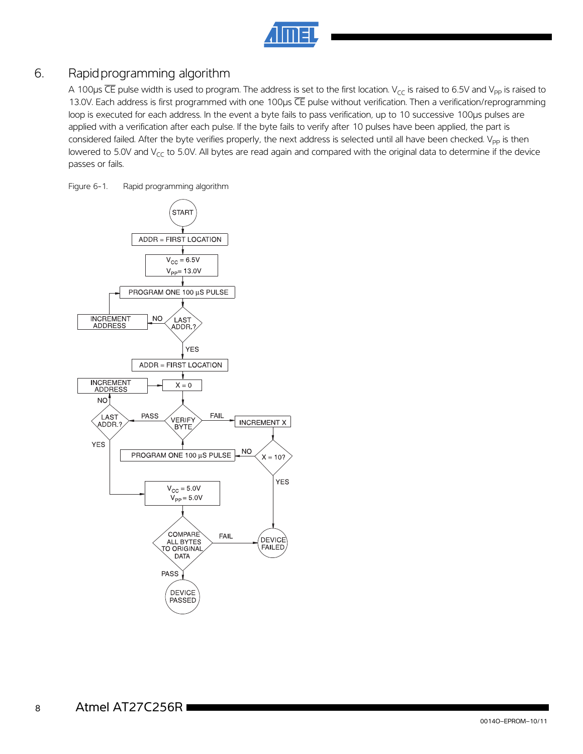## 6. Rapidprogramming algorithm

A 100 $\mu$ s  $\overline{CE}$  pulse width is used to program. The address is set to the first location. V<sub>CC</sub> is raised to 6.5V and V<sub>PP</sub> is raised to 13.0V. Each address is first programmed with one 100µs CE pulse without verification. Then a verification/reprogramming loop is executed for each address. In the event a byte fails to pass verification, up to 10 successive 100µs pulses are applied with a verification after each pulse. If the byte fails to verify after 10 pulses have been applied, the part is considered failed. After the byte verifies properly, the next address is selected until all have been checked. V<sub>PP</sub> is then lowered to 5.0V and  $V_{CC}$  to 5.0V. All bytes are read again and compared with the original data to determine if the device passes or fails.

Figure 6-1. Rapid programming algorithm

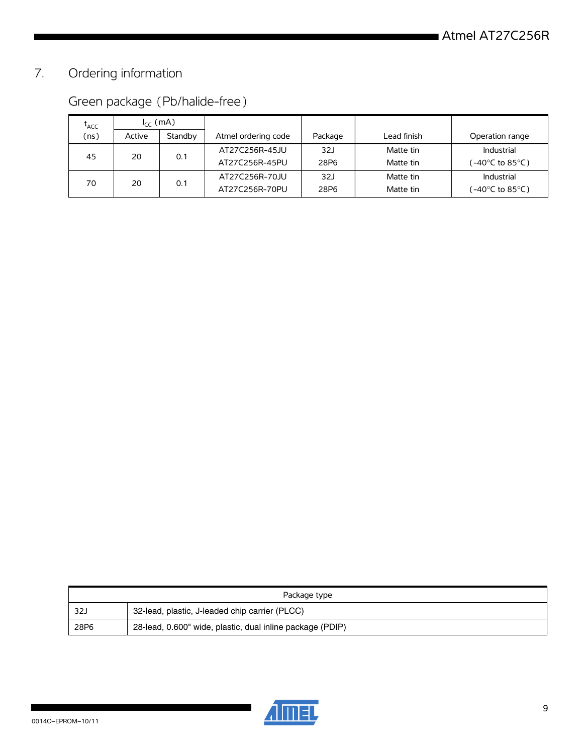# 7. Ordering information

| LACC     | $I_{cc}$ (mA) |                |                     |                  |                 |                  |
|----------|---------------|----------------|---------------------|------------------|-----------------|------------------|
| ns)      | Active        | Standby        | Atmel ordering code | Package          | Lead finish     | Operation range  |
| 45<br>20 | 0.1           | AT27C256R-45JU | 32J                 | Matte tin        | Industrial      |                  |
|          |               | AT27C256R-45PU | 28P <sub>6</sub>    | Matte tin        | (−40°C to 85°C) |                  |
| 70<br>20 | 0.1           | AT27C256R-70JU | 32J                 | Matte tin        | Industrial      |                  |
|          |               |                | AT27C256R-70PU      | 28P <sub>6</sub> | Matte tin       | (−40°C to 85°C). |

## Green package (Pb/halide-free)

| Package type |                                                           |  |  |  |
|--------------|-----------------------------------------------------------|--|--|--|
| 32J          | 32-lead, plastic, J-leaded chip carrier (PLCC)            |  |  |  |
| 28P6         | 28-lead, 0.600" wide, plastic, dual inline package (PDIP) |  |  |  |

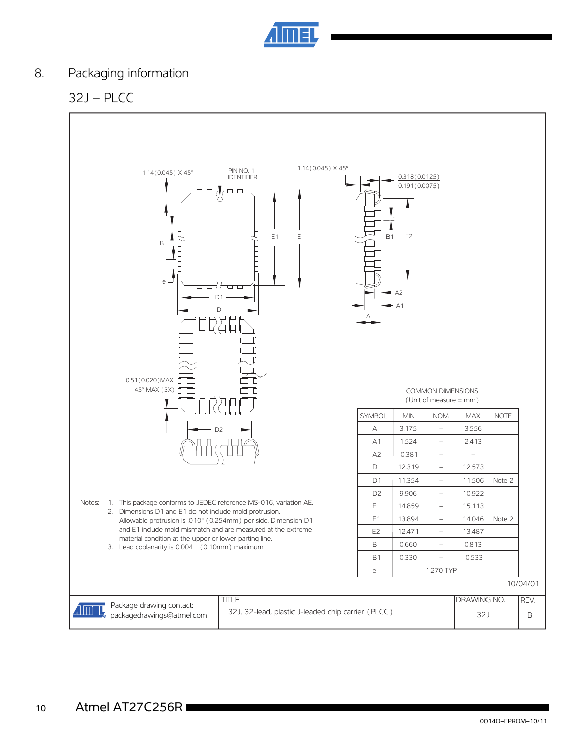

## 8. Packaging information

## 32J – PLCC

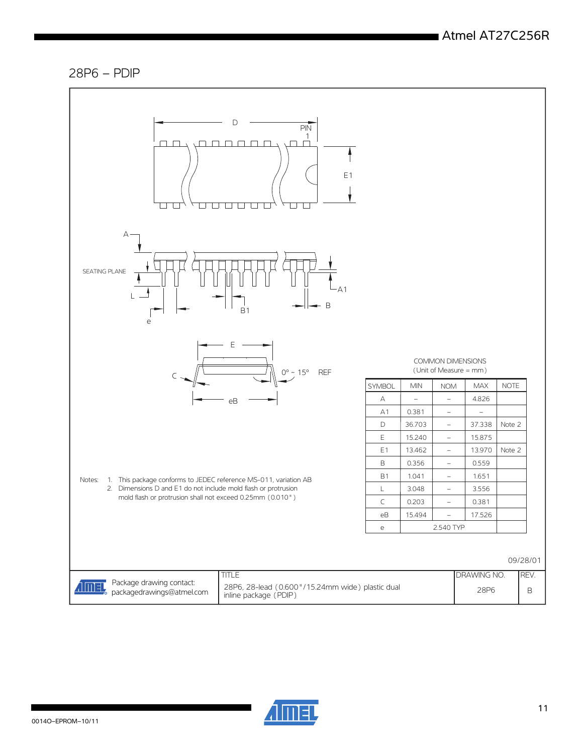### 28P6 – PDIP



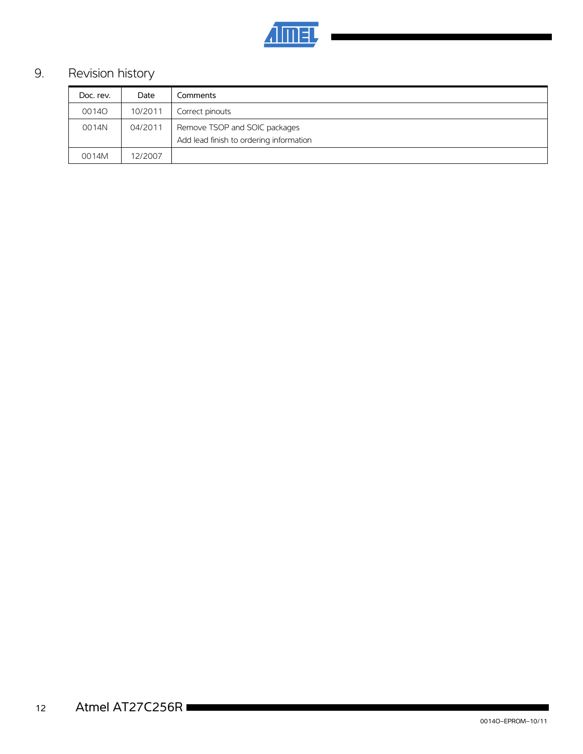

# 9. Revision history

| Doc. rev. | Date    | Comments                                |
|-----------|---------|-----------------------------------------|
| 00140     | 10/2011 | Correct pinouts                         |
| 0014N     | 04/2011 | Remove TSOP and SOIC packages           |
|           |         | Add lead finish to ordering information |
| 0014M     | 12/2007 |                                         |